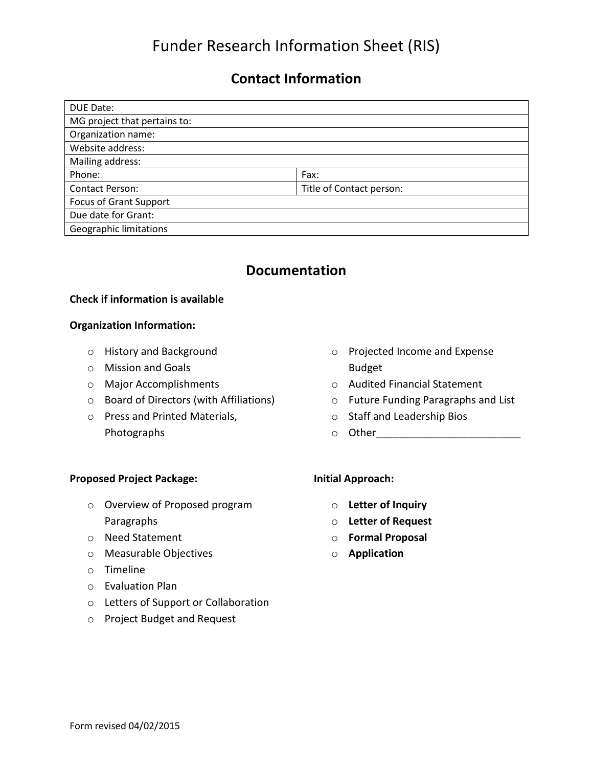# Funder Research Information Sheet (RIS)

## **Contact Information**

| <b>DUE Date:</b>              |                          |  |
|-------------------------------|--------------------------|--|
| MG project that pertains to:  |                          |  |
| Organization name:            |                          |  |
| Website address:              |                          |  |
| Mailing address:              |                          |  |
| Phone:                        | Fax:                     |  |
| <b>Contact Person:</b>        | Title of Contact person: |  |
| <b>Focus of Grant Support</b> |                          |  |
| Due date for Grant:           |                          |  |
| <b>Geographic limitations</b> |                          |  |

### **Documentation**

#### **Check if information is available**

#### **Organization Information:**

- o History and Background
- o Mission and Goals
- o Major Accomplishments
- o Board of Directors (with Affiliations)
- o Press and Printed Materials, Photographs
- o Projected Income and Expense Budget
- o Audited Financial Statement
- o Future Funding Paragraphs and List
- o Staff and Leadership Bios
- o Other\_\_\_\_\_\_\_\_\_\_\_\_\_\_\_\_\_\_\_\_\_\_\_\_\_

### **Proposed Project Package:**

- o Overview of Proposed program Paragraphs
- o Need Statement
- o Measurable Objectives
- o Timeline
- o Evaluation Plan
- o Letters of Support or Collaboration
- o Project Budget and Request

### **Initial Approach:**

- o **Letter of Inquiry**
- o **Letter of Request**
- o **Formal Proposal**
- o **Application**